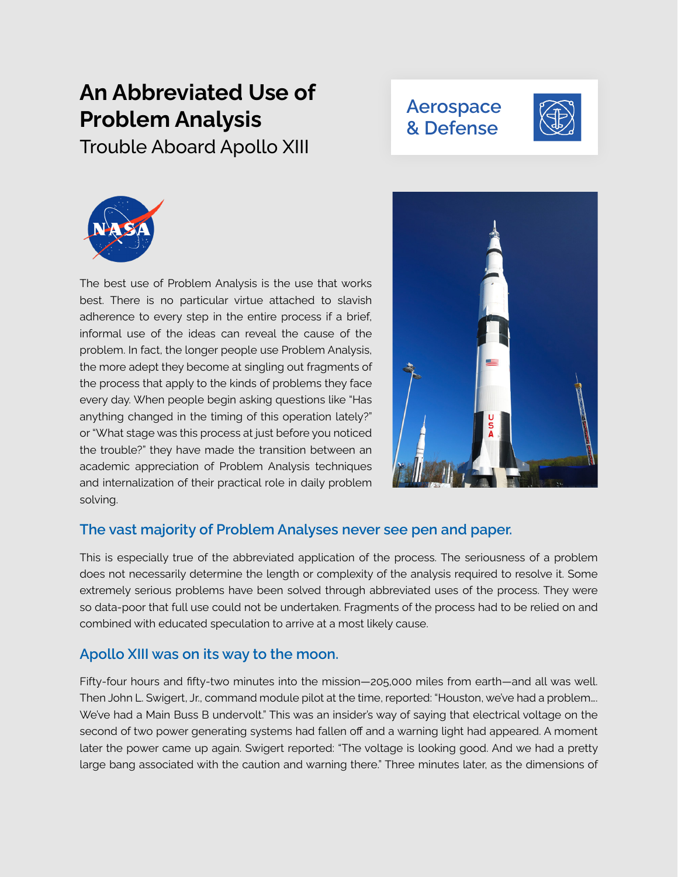# **An Abbreviated Use of Problem Analysis**

Trouble Aboard Apollo XIII

# **Aerospace & Defense**





The best use of Problem Analysis is the use that works best. There is no particular virtue attached to slavish adherence to every step in the entire process if a brief, informal use of the ideas can reveal the cause of the problem. In fact, the longer people use Problem Analysis, the more adept they become at singling out fragments of the process that apply to the kinds of problems they face every day. When people begin asking questions like "Has anything changed in the timing of this operation lately?" or "What stage was this process at just before you noticed the trouble?" they have made the transition between an academic appreciation of Problem Analysis techniques and internalization of their practical role in daily problem solving.



## **The vast majority of Problem Analyses never see pen and paper.**

This is especially true of the abbreviated application of the process. The seriousness of a problem does not necessarily determine the length or complexity of the analysis required to resolve it. Some extremely serious problems have been solved through abbreviated uses of the process. They were so data-poor that full use could not be undertaken. Fragments of the process had to be relied on and combined with educated speculation to arrive at a most likely cause.

## **Apollo XIII was on its way to the moon.**

Fifty-four hours and fifty-two minutes into the mission—205,000 miles from earth—and all was well. Then John L. Swigert, Jr., command module pilot at the time, reported: "Houston, we've had a problem…. We've had a Main Buss B undervolt." This was an insider's way of saying that electrical voltage on the second of two power generating systems had fallen off and a warning light had appeared. A moment later the power came up again. Swigert reported: "The voltage is looking good. And we had a pretty large bang associated with the caution and warning there." Three minutes later, as the dimensions of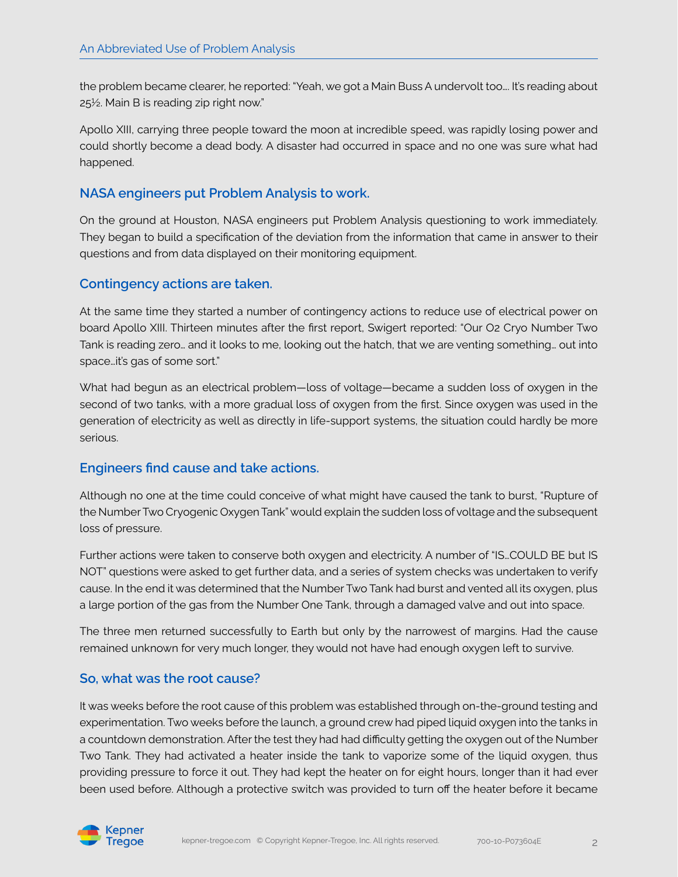the problem became clearer, he reported: "Yeah, we got a Main Buss A undervolt too…. It's reading about 25½. Main B is reading zip right now."

Apollo XIII, carrying three people toward the moon at incredible speed, was rapidly losing power and could shortly become a dead body. A disaster had occurred in space and no one was sure what had happened.

#### **NASA engineers put Problem Analysis to work.**

On the ground at Houston, NASA engineers put Problem Analysis questioning to work immediately. They began to build a specification of the deviation from the information that came in answer to their questions and from data displayed on their monitoring equipment.

#### **Contingency actions are taken.**

At the same time they started a number of contingency actions to reduce use of electrical power on board Apollo XIII. Thirteen minutes after the first report, Swigert reported: "Our O2 Cryo Number Two Tank is reading zero… and it looks to me, looking out the hatch, that we are venting something… out into space…it's gas of some sort."

What had begun as an electrical problem—loss of voltage—became a sudden loss of oxygen in the second of two tanks, with a more gradual loss of oxygen from the first. Since oxygen was used in the generation of electricity as well as directly in life-support systems, the situation could hardly be more serious.

#### **Engineers find cause and take actions.**

Although no one at the time could conceive of what might have caused the tank to burst, "Rupture of the Number Two Cryogenic Oxygen Tank" would explain the sudden loss of voltage and the subsequent loss of pressure.

Further actions were taken to conserve both oxygen and electricity. A number of "IS...COULD BE but IS NOT" questions were asked to get further data, and a series of system checks was undertaken to verify cause. In the end it was determined that the Number Two Tank had burst and vented all its oxygen, plus a large portion of the gas from the Number One Tank, through a damaged valve and out into space.

The three men returned successfully to Earth but only by the narrowest of margins. Had the cause remained unknown for very much longer, they would not have had enough oxygen left to survive.

#### **So, what was the root cause?**

It was weeks before the root cause of this problem was established through on-the-ground testing and experimentation. Two weeks before the launch, a ground crew had piped liquid oxygen into the tanks in a countdown demonstration. After the test they had had difficulty getting the oxygen out of the Number Two Tank. They had activated a heater inside the tank to vaporize some of the liquid oxygen, thus providing pressure to force it out. They had kept the heater on for eight hours, longer than it had ever been used before. Although a protective switch was provided to turn off the heater before it became

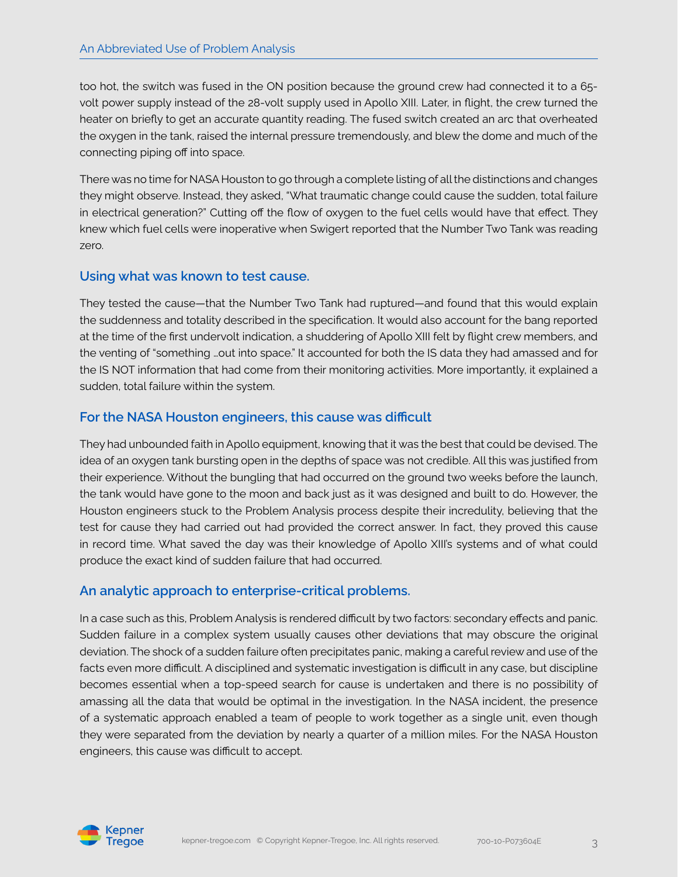too hot, the switch was fused in the ON position because the ground crew had connected it to a 65 volt power supply instead of the 28-volt supply used in Apollo XIII. Later, in flight, the crew turned the heater on briefly to get an accurate quantity reading. The fused switch created an arc that overheated the oxygen in the tank, raised the internal pressure tremendously, and blew the dome and much of the connecting piping off into space.

There was no time for NASA Houston to go through a complete listing of all the distinctions and changes they might observe. Instead, they asked, "What traumatic change could cause the sudden, total failure in electrical generation?" Cutting off the flow of oxygen to the fuel cells would have that effect. They knew which fuel cells were inoperative when Swigert reported that the Number Two Tank was reading zero.

#### **Using what was known to test cause.**

They tested the cause—that the Number Two Tank had ruptured—and found that this would explain the suddenness and totality described in the specification. It would also account for the bang reported at the time of the first undervolt indication, a shuddering of Apollo XIII felt by flight crew members, and the venting of "something …out into space." It accounted for both the IS data they had amassed and for the IS NOT information that had come from their monitoring activities. More importantly, it explained a sudden, total failure within the system.

#### **For the NASA Houston engineers, this cause was difficult**

They had unbounded faith in Apollo equipment, knowing that it was the best that could be devised. The idea of an oxygen tank bursting open in the depths of space was not credible. All this was justified from their experience. Without the bungling that had occurred on the ground two weeks before the launch, the tank would have gone to the moon and back just as it was designed and built to do. However, the Houston engineers stuck to the Problem Analysis process despite their incredulity, believing that the test for cause they had carried out had provided the correct answer. In fact, they proved this cause in record time. What saved the day was their knowledge of Apollo XIII's systems and of what could produce the exact kind of sudden failure that had occurred.

#### **An analytic approach to enterprise-critical problems.**

In a case such as this, Problem Analysis is rendered difficult by two factors: secondary effects and panic. Sudden failure in a complex system usually causes other deviations that may obscure the original deviation. The shock of a sudden failure often precipitates panic, making a careful review and use of the facts even more difficult. A disciplined and systematic investigation is difficult in any case, but discipline becomes essential when a top-speed search for cause is undertaken and there is no possibility of amassing all the data that would be optimal in the investigation. In the NASA incident, the presence of a systematic approach enabled a team of people to work together as a single unit, even though they were separated from the deviation by nearly a quarter of a million miles. For the NASA Houston engineers, this cause was difficult to accept.